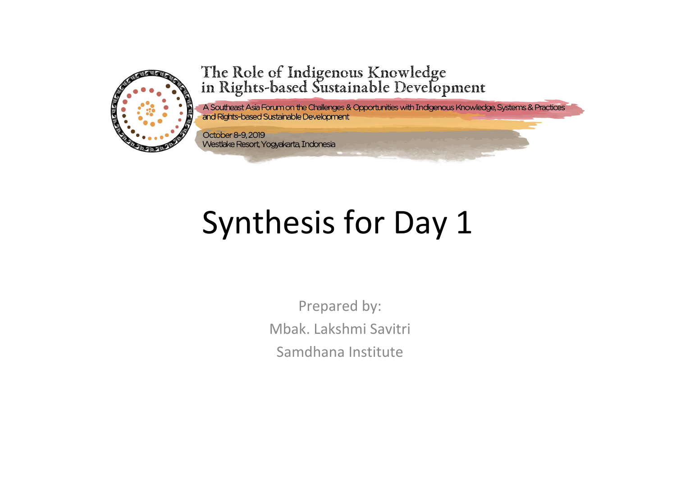

### The Role of Indigenous Knowledge<br>in Rights-based Sustainable Development

A Southeast Asia Forum on the Challenges & Opportunities with Indigenous Knowledge, Systems & Practices and Rights-based Sustainable Development

October 8-9, 2019 Westlake Resort, Yogyakarta, Indonesia

# Synthesis for Day 1

Prepared by: Mbak. Lakshmi Savitri Samdhana Institute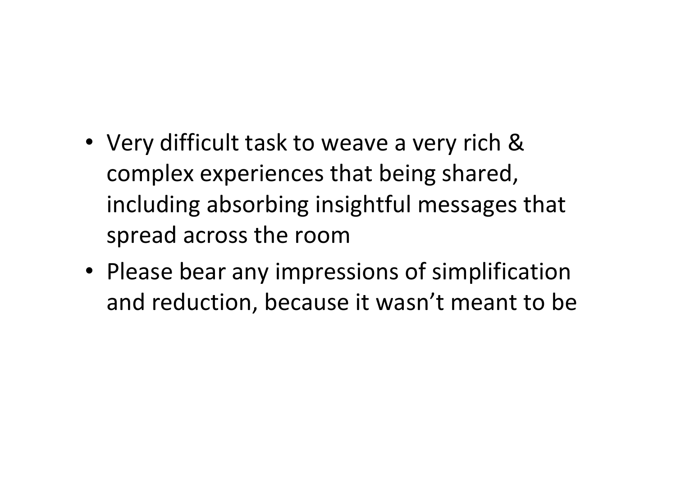- Very difficult task to weave a very rich & complex experiences that being shared, including absorbing insightful messages that spread across the room
- Please bear any impressions of simplification and reduction, because it wasn't meant to be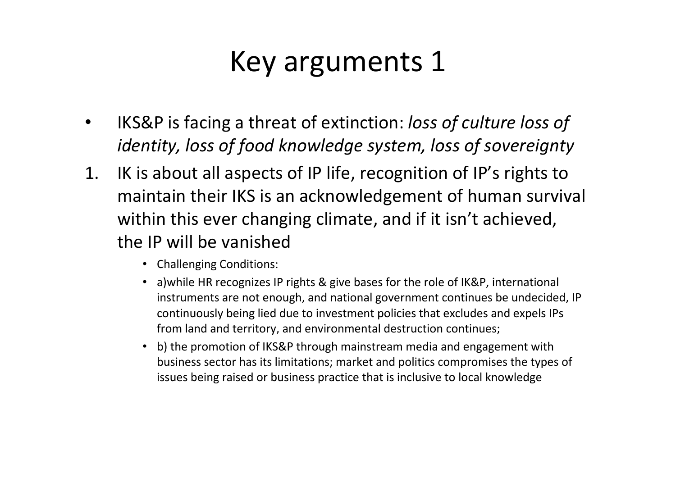#### Key arguments 1

- IKS&P is facing a threat of extinction: *loss of culture loss of identity, loss of food knowledge system, loss of sovereignty*
- 1. IK is about all aspects of IP life, recognition of IP's rights to maintain their IKS is an acknowledgement of human survival within this ever changing climate, and if it isn't achieved, the IP will be vanished
	- Challenging Conditions:
	- a)while HR recognizes IP rights & give bases for the role of IK&P, international instruments are not enough, and national government continues be undecided, IP continuously being lied due to investment policies that excludes and expels IPs from land and territory, and environmental destruction continues;
	- b) the promotion of IKS&P through mainstream media and engagement with business sector has its limitations; market and politics compromises the types of issues being raised or business practice that is inclusive to local knowledge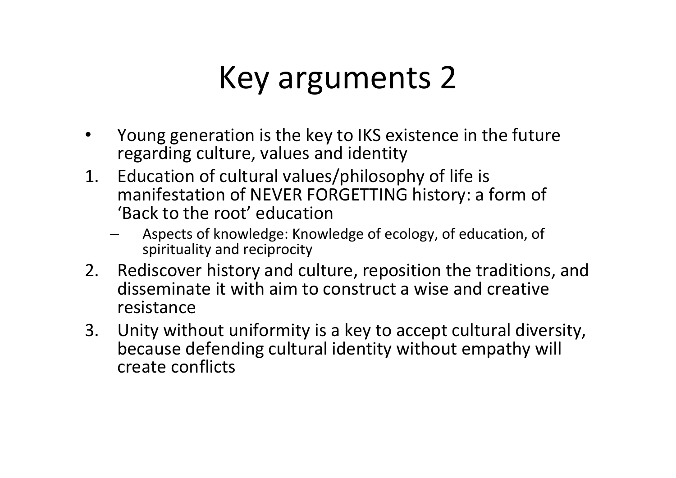### Key arguments 2

- Young generation is the key to IKS existence in the future regarding culture, values and identity
- 1. Education of cultural values/philosophy of life is manifestation of NEVER FORGETTING history: a form of 'Back to the root' education
	- Aspects of knowledge: Knowledge of ecology, of education, of spirituality and reciprocity
- 2. Rediscover history and culture, reposition the traditions, and disseminate it with aim to construct a wise and creative resistance
- 3. Unity without uniformity is a key to accept cultural diversity, because defending cultural identity without empathy will create conflicts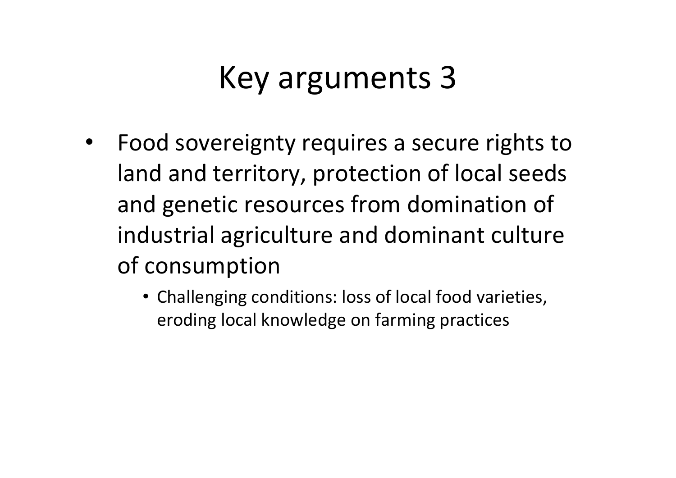### Key arguments 3

- Food sovereignty requires a secure rights to land and territory, protection of local seeds and genetic resources from domination of industrial agriculture and dominant culture of consumption
	- Challenging conditions: loss of local food varieties, eroding local knowledge on farming practices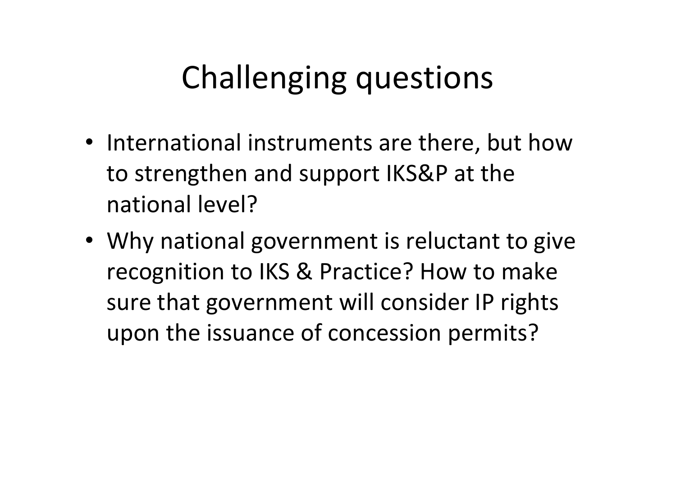## Challenging questions

- International instruments are there, but how to strengthen and support IKS&P at the national level?
- Why national government is reluctant to give recognition to IKS & Practice? How to make sure that government will consider IP rights upon the issuance of concession permits?